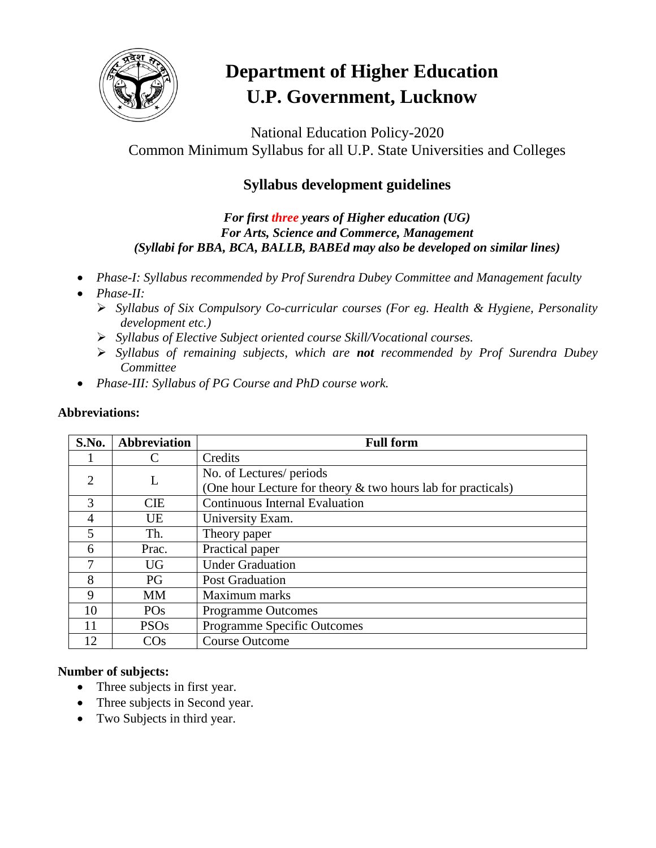

# **Department of Higher Education U.P. Government, Lucknow**

National Education Policy-2020 Common Minimum Syllabus for all U.P. State Universities and Colleges

## **Syllabus development guidelines**

*For first three years of Higher education (UG) For Arts, Science and Commerce, Management (Syllabi for BBA, BCA, BALLB, BABEd may also be developed on similar lines)*

- *Phase-I: Syllabus recommended by Prof Surendra Dubey Committee and Management faculty*
- *Phase-II:* 
	- *Syllabus of Six Compulsory Co-curricular courses (For eg. Health & Hygiene, Personality development etc.)*
	- *Syllabus of Elective Subject oriented course Skill/Vocational courses.*
	- *Syllabus of remaining subjects, which are not recommended by Prof Surendra Dubey Committee*
- *Phase-III: Syllabus of PG Course and PhD course work.*

| <b>Abbreviations:</b> |  |
|-----------------------|--|
|                       |  |

| S.No. | <b>Abbreviation</b> | <b>Full form</b>                                             |
|-------|---------------------|--------------------------------------------------------------|
|       | C                   | Credits                                                      |
| 2     | L                   | No. of Lectures/ periods                                     |
|       |                     | (One hour Lecture for theory & two hours lab for practicals) |
| 3     | <b>CIE</b>          | <b>Continuous Internal Evaluation</b>                        |
| 4     | UE                  | University Exam.                                             |
| 5     | Th.                 | Theory paper                                                 |
| 6     | Prac.               | Practical paper                                              |
|       | <b>UG</b>           | <b>Under Graduation</b>                                      |
| 8     | PG                  | <b>Post Graduation</b>                                       |
| 9     | MМ                  | Maximum marks                                                |
| 10    | <b>POs</b>          | <b>Programme Outcomes</b>                                    |
| 11    | <b>PSOs</b>         | <b>Programme Specific Outcomes</b>                           |
| 12    | $\cos$              | <b>Course Outcome</b>                                        |

#### **Number of subjects:**

- Three subjects in first year.
- Three subjects in Second year.
- Two Subjects in third year.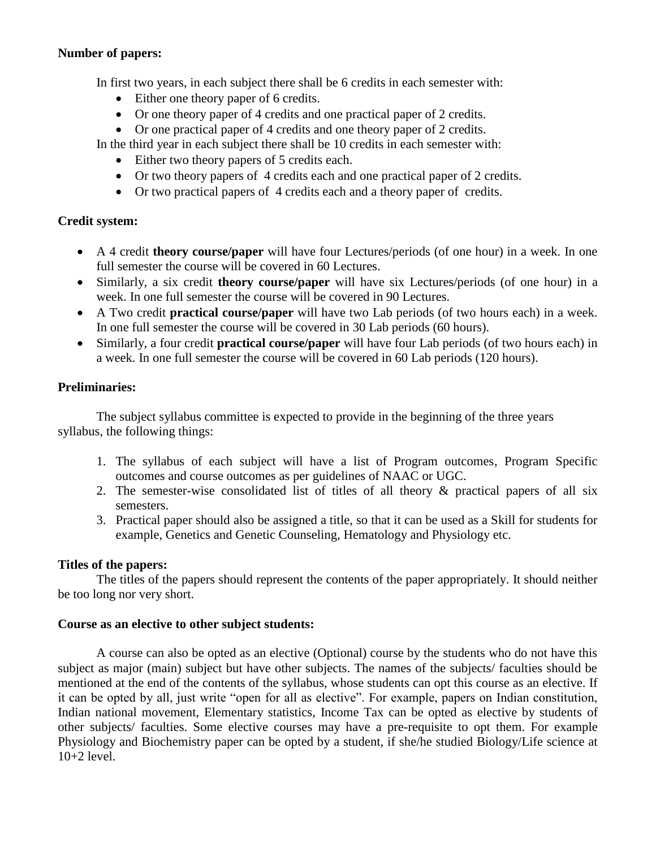#### **Number of papers:**

In first two years, in each subject there shall be 6 credits in each semester with:

- Either one theory paper of 6 credits.
- Or one theory paper of 4 credits and one practical paper of 2 credits.
- Or one practical paper of 4 credits and one theory paper of 2 credits.

In the third year in each subject there shall be 10 credits in each semester with:

- Either two theory papers of 5 credits each.
- Or two theory papers of 4 credits each and one practical paper of 2 credits.
- Or two practical papers of 4 credits each and a theory paper of credits.

#### **Credit system:**

- A 4 credit **theory course/paper** will have four Lectures/periods (of one hour) in a week. In one full semester the course will be covered in 60 Lectures.
- Similarly, a six credit **theory course/paper** will have six Lectures/periods (of one hour) in a week. In one full semester the course will be covered in 90 Lectures.
- A Two credit **practical course/paper** will have two Lab periods (of two hours each) in a week. In one full semester the course will be covered in 30 Lab periods (60 hours).
- Similarly, a four credit **practical course/paper** will have four Lab periods (of two hours each) in a week. In one full semester the course will be covered in 60 Lab periods (120 hours).

#### **Preliminaries:**

The subject syllabus committee is expected to provide in the beginning of the three years syllabus, the following things:

- 1. The syllabus of each subject will have a list of Program outcomes, Program Specific outcomes and course outcomes as per guidelines of NAAC or UGC.
- 2. The semester-wise consolidated list of titles of all theory  $\&$  practical papers of all six semesters.
- 3. Practical paper should also be assigned a title, so that it can be used as a Skill for students for example, Genetics and Genetic Counseling, Hematology and Physiology etc.

#### **Titles of the papers:**

The titles of the papers should represent the contents of the paper appropriately. It should neither be too long nor very short.

#### **Course as an elective to other subject students:**

A course can also be opted as an elective (Optional) course by the students who do not have this subject as major (main) subject but have other subjects. The names of the subjects/ faculties should be mentioned at the end of the contents of the syllabus, whose students can opt this course as an elective. If it can be opted by all, just write "open for all as elective". For example, papers on Indian constitution, Indian national movement, Elementary statistics, Income Tax can be opted as elective by students of other subjects/ faculties. Some elective courses may have a pre-requisite to opt them. For example Physiology and Biochemistry paper can be opted by a student, if she/he studied Biology/Life science at 10+2 level.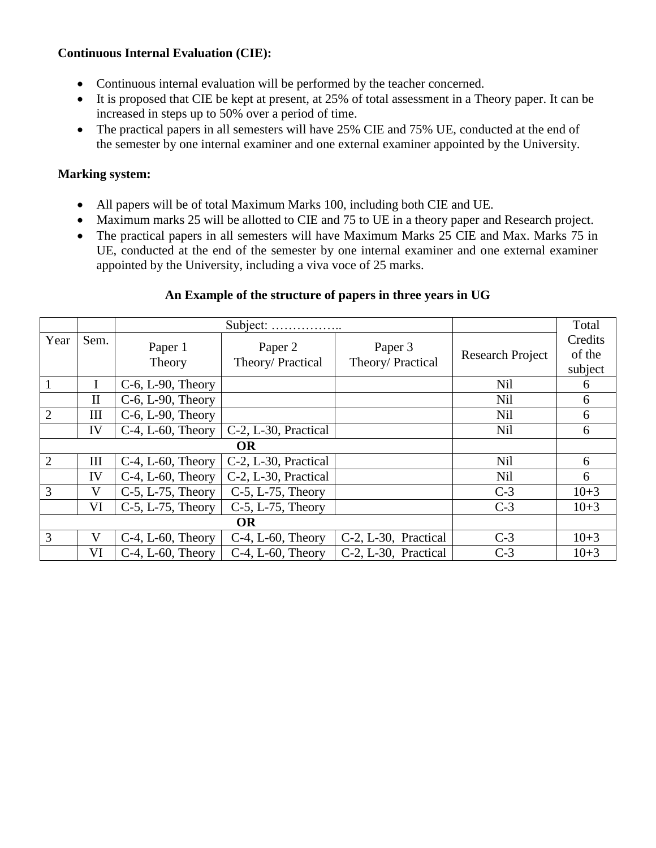#### **Continuous Internal Evaluation (CIE):**

- Continuous internal evaluation will be performed by the teacher concerned.
- It is proposed that CIE be kept at present, at 25% of total assessment in a Theory paper. It can be increased in steps up to 50% over a period of time.
- The practical papers in all semesters will have 25% CIE and 75% UE, conducted at the end of the semester by one internal examiner and one external examiner appointed by the University.

#### **Marking system:**

- All papers will be of total Maximum Marks 100, including both CIE and UE.
- Maximum marks 25 will be allotted to CIE and 75 to UE in a theory paper and Research project.
- The practical papers in all semesters will have Maximum Marks 25 CIE and Max. Marks 75 in UE, conducted at the end of the semester by one internal examiner and one external examiner appointed by the University, including a viva voce of 25 marks.

#### **An Example of the structure of papers in three years in UG**

|                |              | Subject:                 |                             |                              |                         | Total                        |
|----------------|--------------|--------------------------|-----------------------------|------------------------------|-------------------------|------------------------------|
| Year           | Sem.         | Paper 1<br>Theory        | Paper 2<br>Theory/Practical | Paper 3<br>Theory/ Practical | <b>Research Project</b> | Credits<br>of the<br>subject |
|                |              | $C-6$ , $L-90$ , Theory  |                             |                              | Nil                     | 6                            |
|                | $\mathbf{I}$ | C-6, L-90, Theory        |                             |                              | Nil                     | 6                            |
| $\overline{2}$ | Ш            | $C-6$ , $L-90$ , Theory  |                             |                              | <b>Nil</b>              | 6                            |
|                | IV           | $C-4$ , L-60, Theory     | C-2, L-30, Practical        |                              | <b>Nil</b>              | 6                            |
| <b>OR</b>      |              |                          |                             |                              |                         |                              |
| $\overline{2}$ | III          | $C-4$ , L-60, Theory     | C-2, L-30, Practical        |                              | <b>Nil</b>              | 6                            |
|                | IV           | $C-4$ , $L-60$ , Theory  | C-2, L-30, Practical        |                              | <b>Nil</b>              | 6                            |
| 3              | V            | $C-5$ , L $-75$ , Theory | $C-5$ , L-75, Theory        |                              | $C-3$                   | $10+3$                       |
|                | VI           | C-5, L-75, Theory        | $C-5$ , L-75, Theory        |                              | $C-3$                   | $10+3$                       |
|                |              |                          |                             |                              |                         |                              |
| 3              | V            | $C-4$ , L-60, Theory     | $C-4$ , L-60, Theory        | C-2, L-30, Practical         | $C-3$                   | $10+3$                       |
|                | VI           | $C-4$ , $L-60$ , Theory  | $C-4$ , L-60, Theory        | C-2, L-30, Practical         | $C-3$                   | $10+3$                       |